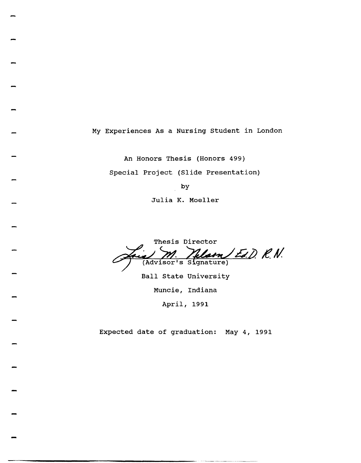My Experiences As a Nursing Student in London

An Honors Thesis (Honors 499) Special Project (Slide Presentation)

by

Julia K. Moeller

Thesis Director<br>M. **Melasn Ed. D. R. N.**<br>(Advisor's Signature)

Ball State University

Muncie, Indiana

April, 1991

Expected date of graduation: May 4, 1991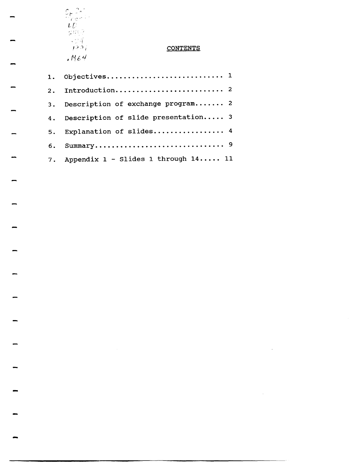$\frac{C_{t}^{2} \frac{2}{\sqrt{2}} \frac{1}{\sqrt{2}}}{\frac{1}{2} \frac{1}{2} \frac{1}{2} \frac{1}{2} \frac{1}{2} \frac{1}{2} \frac{1}{2} \frac{1}{2} \frac{1}{2} \frac{1}{2} \frac{1}{2} \frac{1}{2} \frac{1}{2} \frac{1}{2} \frac{1}{2} \frac{1}{2} \frac{1}{2} \frac{1}{2} \frac{1}{2} \frac{1}{2} \frac{1}{2} \frac{1}{2} \frac{1}{2} \frac{1}{2} \frac{1}{2} \frac{1}{2} \frac{1}{2}$ 

# **CONTENTS**

 $\sim$   $\sim$ 

 $\sim$ 

| 2.1 |                                           |
|-----|-------------------------------------------|
| 3.  | Description of exchange program 2         |
|     | 4. Description of slide presentation 3    |
| 5.  | Explanation of slides 4                   |
| 6.  |                                           |
|     | 7. Appendix $1 - Slides 1$ through $1411$ |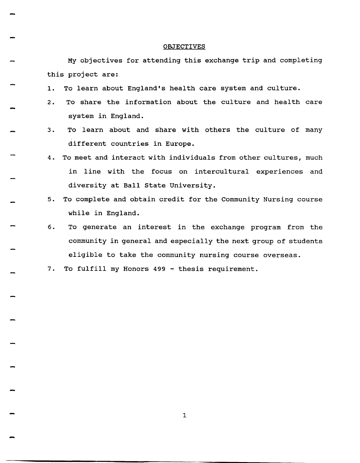#### **OBJECTIVES**

My objectives for attending this exchange trip and completing this project are:

- 1. To learn about England's health care system and culture.
- 2. To share the information about the culture and health care system in England.
- 3. To learn about and share with others the culture of many different countries in Europe.
- 4. To meet and interact with individuals from other cultures, much in line with the focus on intercultural experiences and diversity at Ball State University.
- 5. To complete and obtain credit for the Community Nursing course while in England.
- 6. To generate an interest in the exchange program from the community in general and especially the next group of students eligible to take the community nursing course overseas.
- 7. To fulfill my Honors 499 thesis requirement.

-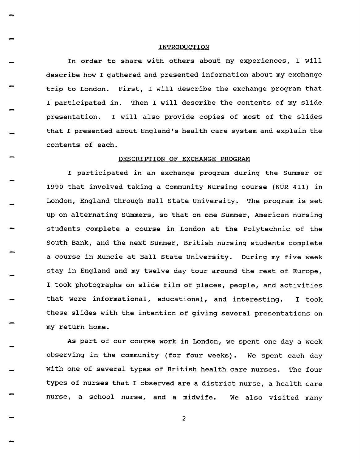#### INTRODUCTION

In order to share with others about my experiences, I will describe how I gathered and presented information about my exchange trip to London. First, I will describe the exchange program that I participated in. Then I will describe the contents of my slide presentation. I will also provide copies of most of the slides that I presented about England's health care system and explain the contents of each.

### DESCRIPTION OF EXCHANGE PROGRAM

I participated in an exchange program during the Summer of 1990 that involved taking a Community Nursing course (NUR 411) in London, England through Ball State University. The program is set up on alternating Summers, so that on one Summer, American nursing students complete a course in London at the Polytechnic of the South Bank, and the next Summer, British nursing students complete a course in Muncie at Ball state University. During my five week stay in England and my twelve day tour around the rest of Europe, I took photographs on slide film of places, people, and activities that were informational, educational, and interesting. I took these slides with the intention of giving several presentations on my return home.

As part of our course work in London, we spent one day a week observing in the community (for four weeks). We spent each day with one of several types of British health care nurses. The four types of nurses that I observed are a district nurse, a health care nurse, a school nurse, and a midwife. We also visited many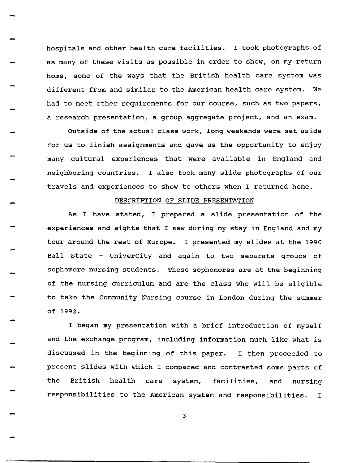hospitals and other health care facilities. I took photographs of as many of these visits as possible in order to show, on my return home, some of the ways that the British health care system was different from and similar to the American health care system. We had to meet other requirements for our course, such as two papers, a research presentation, a group aggregate project, and an exam.

Outside of the actual class work, long weekends were set aside for us to finish assignments and gave us the opportunity to enjoy many cultural experiences that were available in England and neighboring countries. I also took many slide photographs of our travels and experiences to show to others when I returned home.

## DESCRIPTION OF SLIDE PRESENTATION

As I have stated, I prepared a slide presentation of the experiences and sights that I saw during my stay in England and my tour around the rest of Europe. I presented my slides at the 1990 Ball State - UniverCity and again to two separate groups of sophomore nursing students. These sophomores are at the beginning of the nursing curriculum and are the class who will be eligible to take the Community Nursing course in London during the summer of 1992.

I began my presentation with a brief introduction of myself and the exchange program, including information much like what is discussed in the beginning of this paper. I then proceeded to present slides with which I compared and contrasted some parts of the British health care system, facilities, and nursing responsibilities to the American system and responsibilities. I

3

-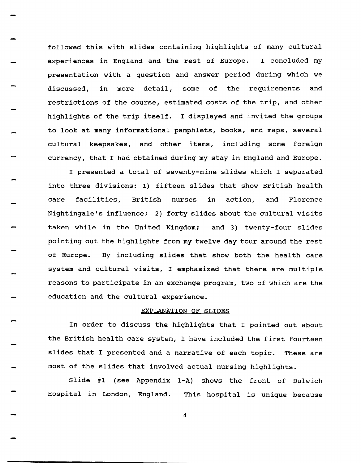followed this with slides containing highlights of many cultural experiences in England and the rest of Europe. I concluded my presentation with a question and answer period during which we discussed, in more detail, some of the requirements and restrictions of the course, estimated costs of the trip, and other highlights of the trip itself. I displayed and invited the groups to look at many informational pamphlets, books, and maps, several cultural keepsakes, and other items, including some foreign currency, that I had obtained during my stay in England and Europe.

-

-

I presented a total of seventy-nine slides which I separated into three divisions: 1) fifteen slides that show British health care facilities, British nurses in action, and Florence Nightingale's influence; 2) forty slides about the cultural visits taken while in the united Kingdom; and 3) twenty-four slides pointing out the highlights from my twelve day tour around the rest of Europe. By including slides that show both the health care system and cultural visits, I emphasized that there are multiple reasons to participate in an exchange program, two of which are the education and the cultural experience.

# EXPLANATION OF SLIDES

In order to discuss the highlights that I pointed out about the British health care system, I have included the first fourteen slides that I presented and a narrative of each topic. These are most of the slides that involved actual nursing highlights.

Slide #1 (see Appendix I-A) shows the front of Dulwich Hospital in London, England. This hospital is unique because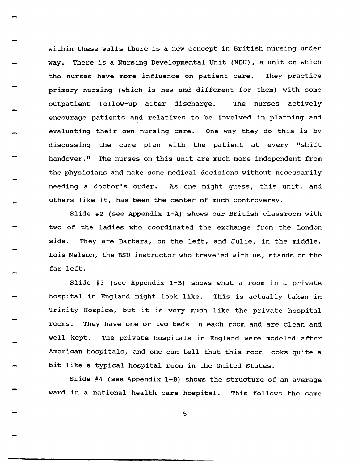within these walls there is a new concept in British nursing under way. There is a Nursing Developmental unit (NDU) , a unit on which the nurses have more influence on patient care. They practice primary nursing (which is new and different for them) with some outpatient follow-up after discharge. The nurses actively encourage patients and relatives to be involved in planning and evaluating their own nursing care. One way they do this is by discussing the care plan with the patient at every "shift handover." The nurses on this unit are much more independent from the physicians and make some medical decisions without necessarily needing a doctor's order. As one might guess, this unit, and others like it, has been the center of much controversy.

Slide #2 (see Appendix l-A) shows our British classroom with two of the ladies who coordinated the exchange from the London side. They are Barbara, on the left, and Julie, in the middle. Lois Nelson, the BSU instructor who traveled with us, stands on the far left.

Slide #3 (see Appendix l-B) shows what a room in a private hospital in England might look like. This is actually taken in Trinity Hospice, but it is very much like the private hospital rooms. They have one or two beds in each room and are clean and well kept. The private hospitals in England were modeled after American hospitals, and one can tell that this room looks quite a bit like a typical hospital room in the United States.

Slide #4 (see Appendix l-B) shows the structure of an average ward in a national health care hospital. This follows the same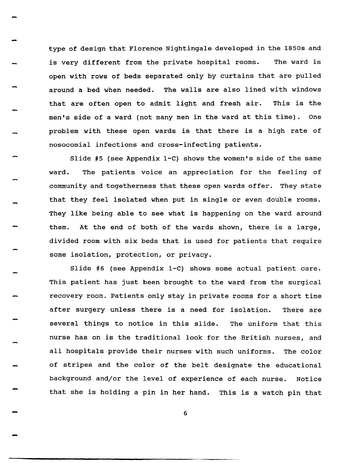type of design that Florence Nightingale developed in the 1850s and is very different from the private hospital rooms. The ward is open with rows of beds separated only by curtains that are pulled around a bed when needed. The walls are also lined with windows that are often open to admit light and fresh air. This is the men's side of a ward (not many men in the ward at this time). One problem with these open wards is that there is a high rate of nosocomial infections and cross-infecting patients.

Slide #5 (see Appendix I-C) shows the women's side of the same ward. The patients voice an appreciation for the feeling of community and togetherness that these open wards offer. They state that they feel isolated when put in single or even double rooms. They like being able to see what is happening on the ward around them. At the end of both of the wards shown, there is a large, divided room with six beds that is used for patients that require some isolation, protection, or privacy.

Slide #6 (see Appendix *I-C)* shows some actual patient care. This patient has just been brought to the ward from the surgical recovery room. Patients only stay in private rooms for a short time after surgery unless there is a need for isolation. There are several things to notice in this slide. The uniform that this nurse has on is the traditional look for the British nurses, and all hospitals provide their nurses with such uniforms. The color of stripes and the color of the belt designate the educational background and/or the level of experience of each nurse. Notice that she is holding a pin in her hand. This is a watch pin that

6

...

...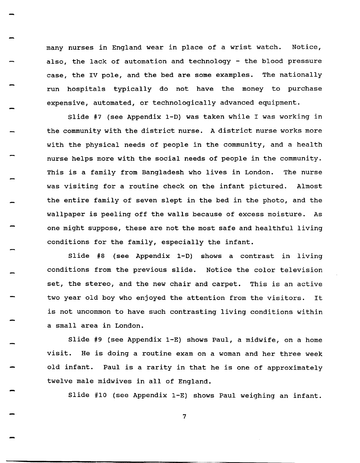many nurses in England wear in place of a wrist watch. Notice, also, the lack of automation and technology - the blood pressure case, the IV pole, and the bed are some examples. The nationally run hospitals typically do not have the money to purchase expensive, automated, or technologically advanced equipment.

Slide #7 (see Appendix 1-0) was taken while I was working in the community with the district nurse. A district nurse works more with the physical needs of people in the community, and a health nurse helps more with the social needs of people in the community. This is a family from Bangladesh who lives in London. The nurse was visiting for a routine check on the infant pictured. Almost the entire family of seven slept in the bed in the photo, and the wallpaper is peeling off the walls because of excess moisture. As one might suppose, these are not the most safe and healthful living conditions for the family, especially the infant.

Slide #8 (see Appendix 1-0) shows a contrast in living conditions from the previous slide. Notice the color television set, the stereo, and the new chair and carpet. This is an active two year old boy who enjoyed the attention from the visitors. It is not uncommon to have such contrasting living conditions within a small area in London.

Slide #9 (see Appendix I-E) shows Paul, a midwife, on a home visit. He is doing a routine exam on a woman and her three week old infant. Paul is a rarity in that he is one of approximately twelve male midwives in all of England.

Slide #10 (see Appendix I-E) shows Paul weighing an infant.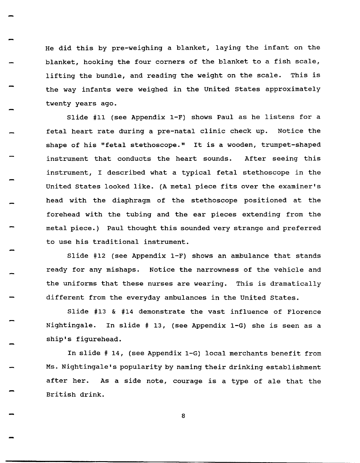He did this by pre-weighing a blanket, laying the infant on the blanket, hooking the four corners of the blanket to a fish scale, lifting the bundle, and reading the weight on the scale. This is the way infants were weighed in the united states approximately twenty years ago.

Slide #11 (see Appendix I-F) shows Paul as he listens for a fetal heart rate during a pre-natal clinic check up. Notice the shape of his "fetal stethoscope." It is a wooden, trumpet-shaped instrument that conducts the heart sounds. After seeing this instrument, I described what a typical fetal stethoscope in the United states looked like. (A metal piece fits over the examiner's head with the diaphragm of the stethoscope positioned at the forehead with the tubing and the ear pieces extending from the metal piece.) Paul thought this sounded very strange and preferred to use his traditional instrument.

Slide #12 (see Appendix I-F) shows an ambulance that stands ready for any mishaps. Notice the narrowness of the vehicle and the uniforms that these nurses are wearing. This is dramatically different from the everyday ambulances in the United states.

Slide #13 & #14 demonstrate the vast influence of Florence Nightingale. In slide # 13, (see Appendix I-G) she is seen as a ship's figurehead.

In slide # 14, (see Appendix I-G) local merchants benefit from Ms. Nightingale's popularity by naming their drinking establishment after her. As a side note, courage is a type of ale that the British drink.

-

-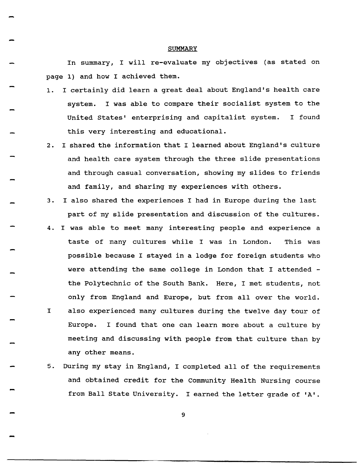#### **SUMMARY**

In summary, I will re-evaluate my objectives (as stated on page 1) and how I achieved them.

- 1. I certainly did learn a great deal about England's health care system. I was able to compare their socialist system to the united states' enterprising and capitalist system. I found this very interesting and educational.
- 2. I shared the information that I learned about England's culture and health care system through the three slide presentations and through casual conversation, showing my slides to friends and family, and sharing my experiences with others.
- 3. I also shared the experiences I had in Europe during the last part of my slide presentation and discussion of the cultures.
- 4. I was able to meet many interesting people and experience a taste of many cultures while I was in London. This was possible because I stayed in a lodge for foreign students who were attending the same college in London that I attended the Polytechnic of the South Bank. Here, I met students, not only from England and Europe, but from all over the world. I also experienced many cultures during the twelve day tour of Europe. I found that one can learn more about a culture by meeting and discussing with people from that culture than by any other means.
	- 5. During my stay in England, I completed all of the requirements and obtained credit for the Community Health Nursing course from Ball State University. I earned the letter grade of 'A'.

9

-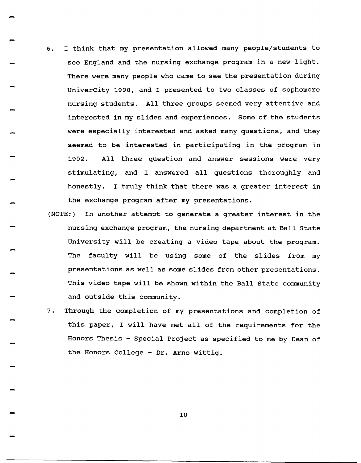6. I think that my presentation allowed many people/students to see England and the nursing exchange program in a new light. There were many people who came to see the presentation during UniverCity 1990, and I presented to two classes of sophomore nursing students. All three groups seemed very attentive and interested in my slides and experiences. Some of the students were especially interested and asked many questions, and they seemed to be interested in participating in the program in 1992. All three question and answer sessions were very stimulating, and I answered all questions thoroughly and honestly. I truly think that there was a greater interest in the exchange program after my presentations.

-

-

-

- (NOTE:) In another attempt to generate a greater interest in the nursing exchange program, the nursing department at Ball State University will be creating a video tape about the program. The faculty will be using some of the slides from my presentations as well as some slides from other presentations. This video tape will be shown within the Ball State community and outside this community.
- 7. Through the completion of my presentations and completion of this paper, I will have met all of the requirements for the Honors Thesis - Special Project as specified to me by Dean of the Honors College - Dr. Arno Wittig.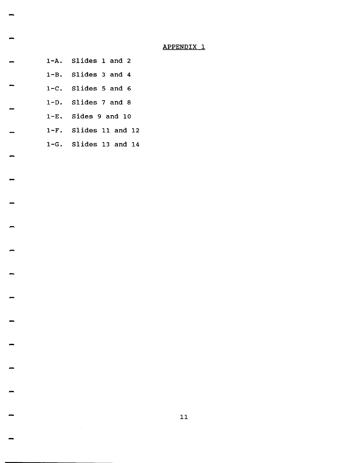# end and the set of the set of the set of the set of the set of the set of the set of the set of the set of the<br>The set of the set of the set of the set of the set of the set of the set of the set of the set of the set of<br>T

- 1-A. Slides 1 and 2
- 1-B. Slides 3 and 4
- *1-C.* Slides 5 and 6
- 1-0. Slides 7 and 8
- 1-E. Sides 9 and 10
- 1-F. Slides 11 and 12
- 1-G. Slides 13 and 14

-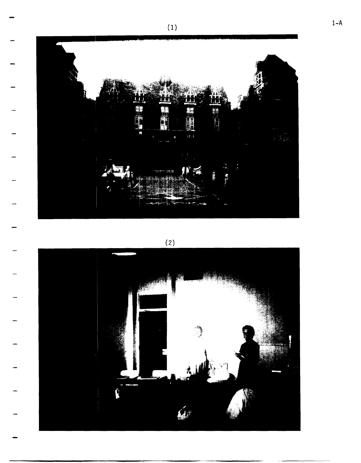

 $(2)$ 

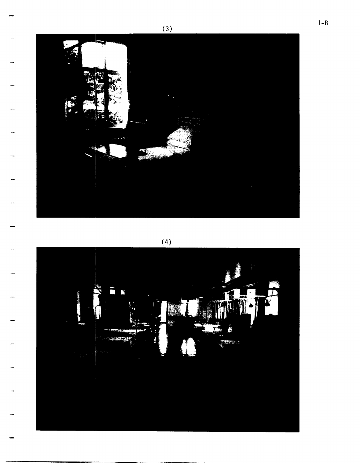

 $(4)$ 

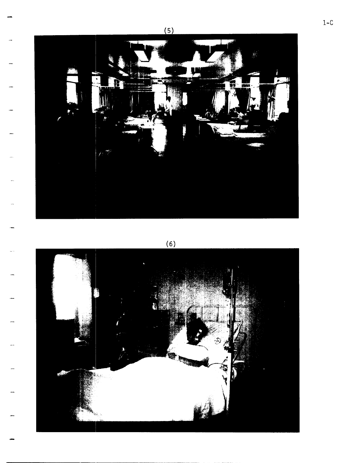

 $(6)$ 



 $1 - C$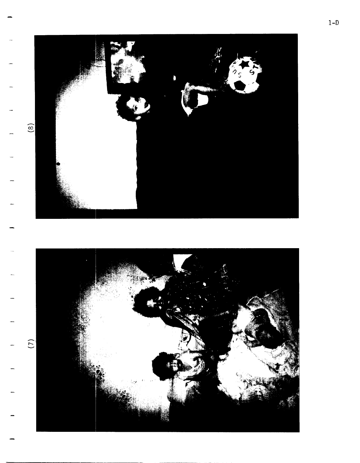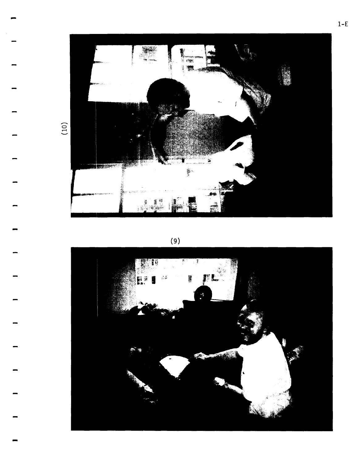

 $(9)$ 



 $(10)$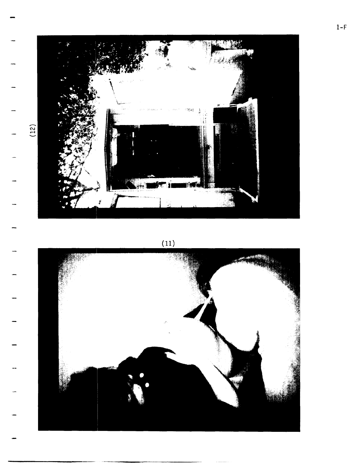

 $(11)$